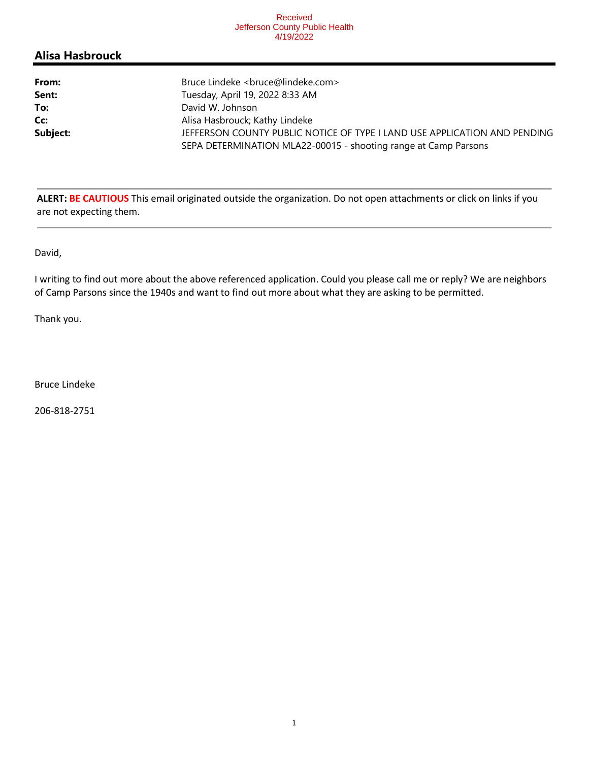#### Received Jefferson County Public Health 4/19/2022

## **Alisa Hasbrouck**

| From:    | Bruce Lindeke <bruce@lindeke.com></bruce@lindeke.com>                                                                                        |
|----------|----------------------------------------------------------------------------------------------------------------------------------------------|
| Sent:    | Tuesday, April 19, 2022 8:33 AM                                                                                                              |
| To:      | David W. Johnson                                                                                                                             |
| Cc:      | Alisa Hasbrouck; Kathy Lindeke                                                                                                               |
| Subject: | JEFFERSON COUNTY PUBLIC NOTICE OF TYPE I LAND USE APPLICATION AND PENDING<br>SEPA DETERMINATION MLA22-00015 - shooting range at Camp Parsons |

**ALERT: BE CAUTIOUS** This email originated outside the organization. Do not open attachments or click on links if you are not expecting them.

David,

I writing to find out more about the above referenced application. Could you please call me or reply? We are neighbors of Camp Parsons since the 1940s and want to find out more about what they are asking to be permitted.

Thank you.

Bruce Lindeke

206-818-2751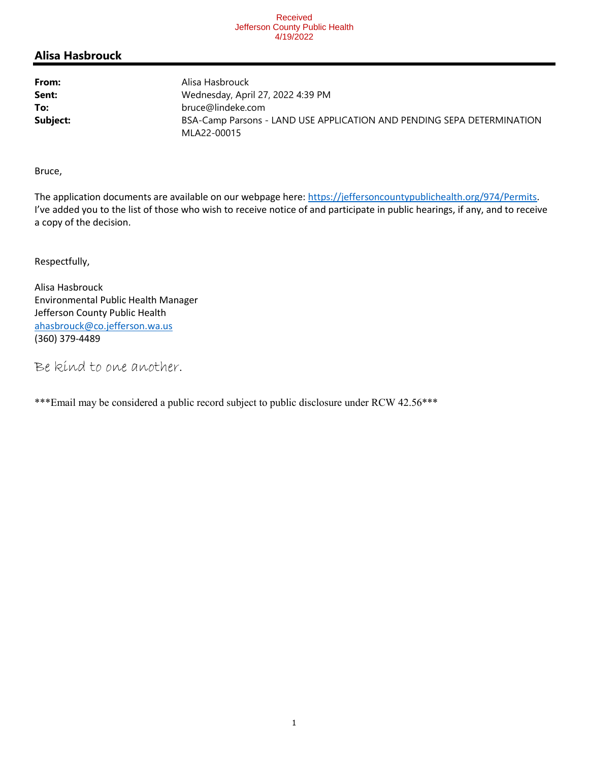#### Received Jefferson County Public Health 4/19/2022

## **Alisa Hasbrouck**

| From:    | Alisa Hasbrouck                                                                       |  |
|----------|---------------------------------------------------------------------------------------|--|
| Sent:    | Wednesday, April 27, 2022 4:39 PM                                                     |  |
| To:      | bruce@lindeke.com                                                                     |  |
| Subject: | BSA-Camp Parsons - LAND USE APPLICATION AND PENDING SEPA DETERMINATION<br>MLA22-00015 |  |

Bruce,

The application documents are available on our webpage here: https://jeffersoncountypublichealth.org/974/Permits. I've added you to the list of those who wish to receive notice of and participate in public hearings, if any, and to receive a copy of the decision.

Respectfully,

Alisa Hasbrouck Environmental Public Health Manager Jefferson County Public Health ahasbrouck@co.jefferson.wa.us (360) 379-4489

Be kind to one another.

\*\*\*Email may be considered a public record subject to public disclosure under RCW 42.56\*\*\*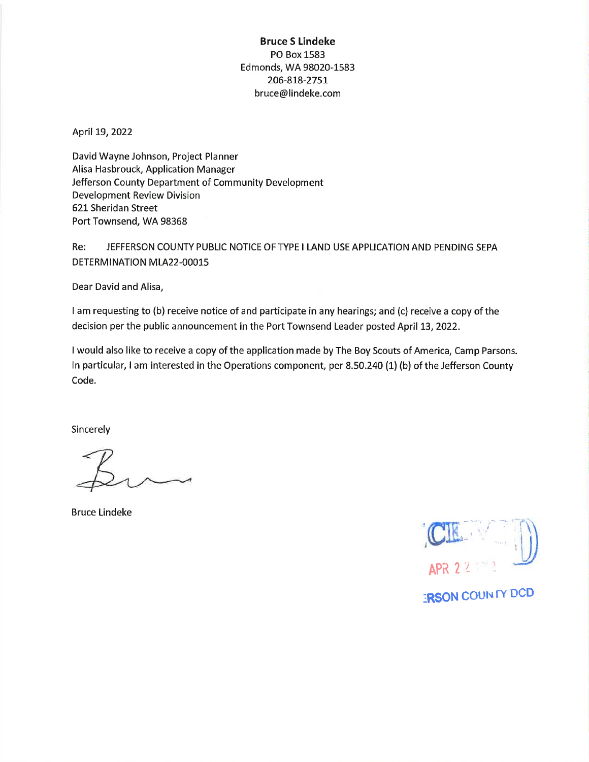### **Bruce S Lindeke** PO Box 1583 Edmonds, WA 98020-1583 206-818-2751 bruce@lindeke.com

April 19, 2022

David Wayne Johnson, Project Planner Alisa Hasbrouck, Application Manager Jefferson County Department of Community Development **Development Review Division** 621 Sheridan Street Port Townsend, WA 98368

Re: JEFFERSON COUNTY PUBLIC NOTICE OF TYPE I LAND USE APPLICATION AND PENDING SEPA DETERMINATION MLA22-00015

Dear David and Alisa,

I am requesting to (b) receive notice of and participate in any hearings; and (c) receive a copy of the decision per the public announcement in the Port Townsend Leader posted April 13, 2022.

I would also like to receive a copy of the application made by The Boy Scouts of America, Camp Parsons. In particular, I am interested in the Operations component, per 8.50.240 (1) (b) of the Jefferson County Code.

Sincerely

**Bruce Lindeke** 

**IRSON COUNTY DCD**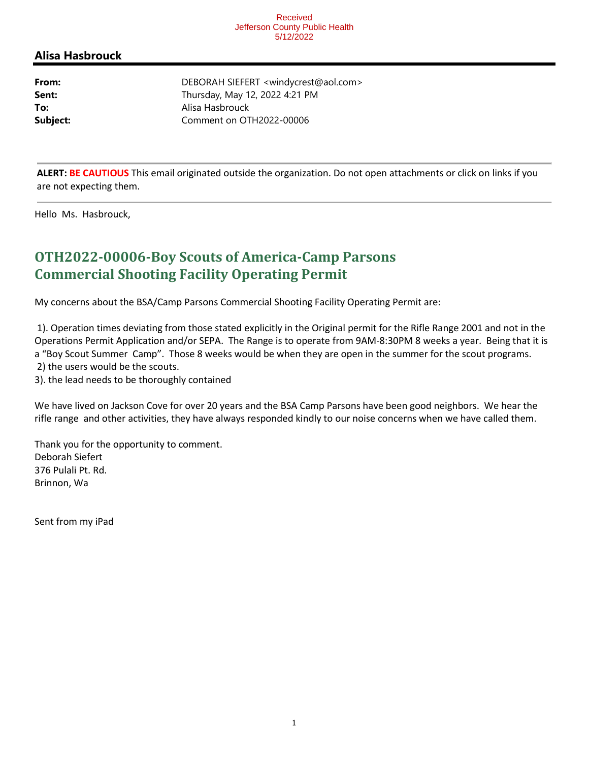#### Received Jefferson County Public Health 5/12/2022

### **Alisa Hasbrouck**

**From:** DEBORAH SIEFERT <windycrest@aol.com> **Sent:** Thursday, May 12, 2022 4:21 PM **To:** Alisa Hasbrouck **Subject:** Comment on OTH2022-00006

**ALERT: BE CAUTIOUS** This email originated outside the organization. Do not open attachments or click on links if you are not expecting them.

Hello Ms. Hasbrouck,

# **OTH2022-00006-Boy Scouts of America-Camp Parsons Commercial Shooting Facility Operating Permit**

My concerns about the BSA/Camp Parsons Commercial Shooting Facility Operating Permit are:

 1). Operation times deviating from those stated explicitly in the Original permit for the Rifle Range 2001 and not in the Operations Permit Application and/or SEPA. The Range is to operate from 9AM-8:30PM 8 weeks a year. Being that it is a "Boy Scout Summer Camp". Those 8 weeks would be when they are open in the summer for the scout programs. 2) the users would be the scouts.

3). the lead needs to be thoroughly contained

We have lived on Jackson Cove for over 20 years and the BSA Camp Parsons have been good neighbors. We hear the rifle range and other activities, they have always responded kindly to our noise concerns when we have called them.

Thank you for the opportunity to comment. Deborah Siefert 376 Pulali Pt. Rd. Brinnon, Wa

Sent from my iPad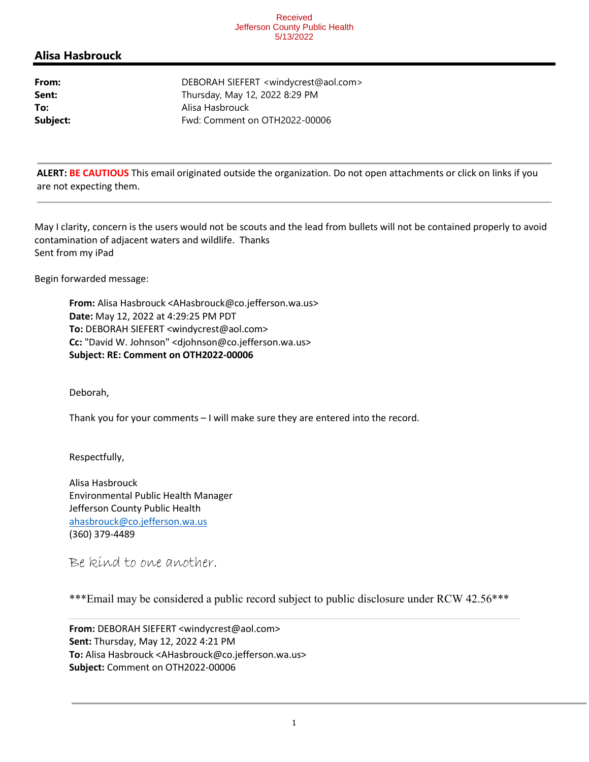#### Received Jefferson County Public Health 5/13/2022

### **Alisa Hasbrouck**

**From:** DEBORAH SIEFERT <windycrest@aol.com> **Sent:** Thursday, May 12, 2022 8:29 PM **To:** Alisa Hasbrouck **Subject:** Fwd: Comment on OTH2022-00006

**ALERT: BE CAUTIOUS** This email originated outside the organization. Do not open attachments or click on links if you are not expecting them.

May I clarity, concern is the users would not be scouts and the lead from bullets will not be contained properly to avoid contamination of adjacent waters and wildlife. Thanks Sent from my iPad

Begin forwarded message:

**From:** Alisa Hasbrouck <AHasbrouck@co.jefferson.wa.us> **Date:** May 12, 2022 at 4:29:25 PM PDT **To:** DEBORAH SIEFERT <windycrest@aol.com> **Cc:** "David W. Johnson" <djohnson@co.jefferson.wa.us> **Subject: RE: Comment on OTH2022-00006**

Deborah,

Thank you for your comments – I will make sure they are entered into the record.

Respectfully,

Alisa Hasbrouck Environmental Public Health Manager Jefferson County Public Health ahasbrouck@co.jefferson.wa.us (360) 379-4489

Be kind to one another.

\*\*\*Email may be considered a public record subject to public disclosure under RCW 42.56\*\*\*

**From:** DEBORAH SIEFERT <windycrest@aol.com> **Sent:** Thursday, May 12, 2022 4:21 PM **To:** Alisa Hasbrouck <AHasbrouck@co.jefferson.wa.us> **Subject:** Comment on OTH2022-00006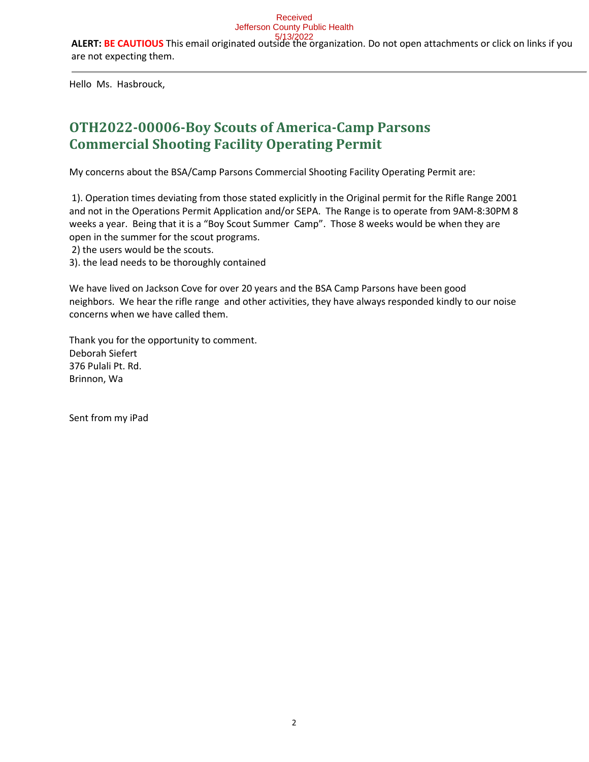Hello Ms. Hasbrouck,

# **OTH2022-00006-Boy Scouts of America-Camp Parsons Commercial Shooting Facility Operating Permit**

My concerns about the BSA/Camp Parsons Commercial Shooting Facility Operating Permit are:

 1). Operation times deviating from those stated explicitly in the Original permit for the Rifle Range 2001 and not in the Operations Permit Application and/or SEPA. The Range is to operate from 9AM-8:30PM 8 weeks a year. Being that it is a "Boy Scout Summer Camp". Those 8 weeks would be when they are open in the summer for the scout programs.

2) the users would be the scouts.

3). the lead needs to be thoroughly contained

We have lived on Jackson Cove for over 20 years and the BSA Camp Parsons have been good neighbors. We hear the rifle range and other activities, they have always responded kindly to our noise concerns when we have called them.

Thank you for the opportunity to comment. Deborah Siefert 376 Pulali Pt. Rd. Brinnon, Wa

Sent from my iPad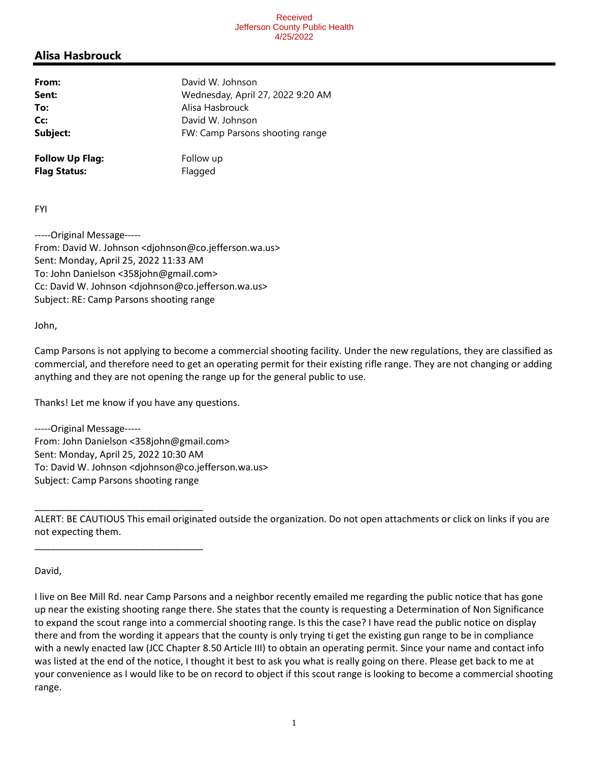## Alisa Hasbrouck

| From:                  | David W. Johnson                  |
|------------------------|-----------------------------------|
| Sent:                  | Wednesday, April 27, 2022 9:20 AM |
| To:                    | Alisa Hasbrouck                   |
| Cc:                    | David W. Johnson                  |
| Subject:               | FW: Camp Parsons shooting range   |
| <b>Follow Up Flag:</b> | Follow up                         |
| <b>Flag Status:</b>    | Flagged                           |

FYI

-----Original Message----- From: David W. Johnson <djohnson@co.jefferson.wa.us> Sent: Monday, April 25, 2022 11:33 AM To: John Danielson <358john@gmail.com> Cc: David W. Johnson <djohnson@co.jefferson.wa.us> Subject: RE: Camp Parsons shooting range

John,

Camp Parsons is not applying to become a commercial shooting facility. Under the new regulations, they are classified as commercial, and therefore need to get an operating permit for their existing rifle range. They are not changing or adding anything and they are not opening the range up for the general public to use.

Thanks! Let me know if you have any questions.

\_\_\_\_\_\_\_\_\_\_\_\_\_\_\_\_\_\_\_\_\_\_\_\_\_\_\_\_\_\_\_\_

\_\_\_\_\_\_\_\_\_\_\_\_\_\_\_\_\_\_\_\_\_\_\_\_\_\_\_\_\_\_\_\_

-----Original Message----- From: John Danielson <358john@gmail.com> Sent: Monday, April 25, 2022 10:30 AM To: David W. Johnson <djohnson@co.jefferson.wa.us> Subject: Camp Parsons shooting range

ALERT: BE CAUTIOUS This email originated outside the organization. Do not open attachments or click on links if you are not expecting them.

David,

I live on Bee Mill Rd. near Camp Parsons and a neighbor recently emailed me regarding the public notice that has gone up near the existing shooting range there. She states that the county is requesting a Determination of Non Significance to expand the scout range into a commercial shooting range. Is this the case? I have read the public notice on display there and from the wording it appears that the county is only trying ti get the existing gun range to be in compliance with a newly enacted law (JCC Chapter 8.50 Article III) to obtain an operating permit. Since your name and contact info was listed at the end of the notice, I thought it best to ask you what is really going on there. Please get back to me at your convenience as I would like to be on record to object if this scout range is looking to become a commercial shooting range.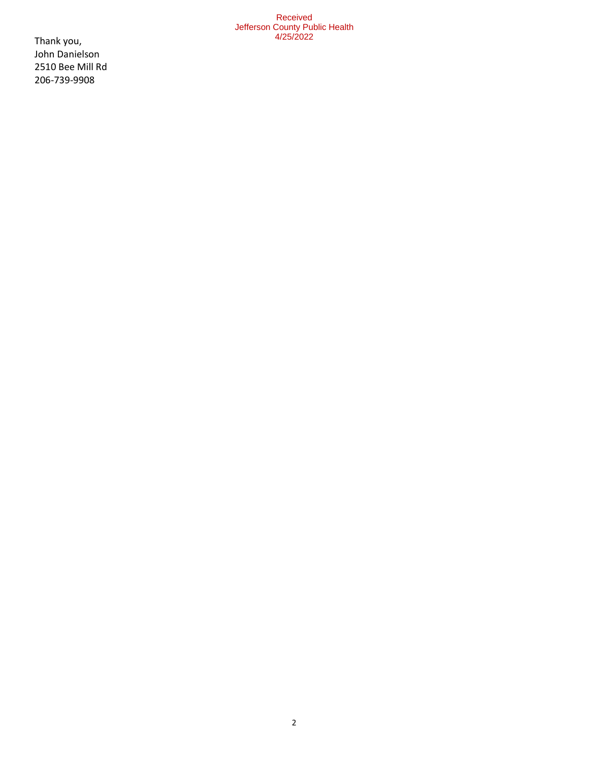#### Received Jefferson County Public Health 4/25/2022

Thank you, John Danielson 2510 Bee Mill Rd 206-739-9908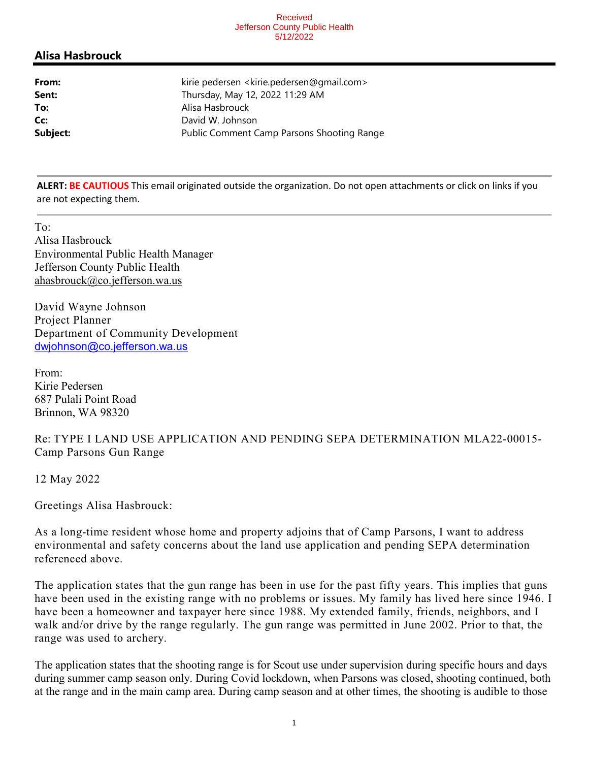#### Received Jefferson County Public Health 5/12/2022

### **Alisa Hasbrouck**

| From:    | kirie pedersen <kirie.pedersen@gmail.com></kirie.pedersen@gmail.com> |
|----------|----------------------------------------------------------------------|
| Sent:    | Thursday, May 12, 2022 11:29 AM                                      |
| To:      | Alisa Hasbrouck                                                      |
| Cc:      | David W. Johnson                                                     |
| Subject: | <b>Public Comment Camp Parsons Shooting Range</b>                    |

**ALERT: BE CAUTIOUS** This email originated outside the organization. Do not open attachments or click on links if you are not expecting them.

To: Alisa Hasbrouck Environmental Public Health Manager Jefferson County Public Health ahasbrouck@co.jefferson.wa.us

David Wayne Johnson Project Planner Department of Community Development dwjohnson@co.jefferson.wa.us

From: Kirie Pedersen 687 Pulali Point Road Brinnon, WA 98320

Re: TYPE I LAND USE APPLICATION AND PENDING SEPA DETERMINATION MLA22-00015- Camp Parsons Gun Range

12 May 2022

Greetings Alisa Hasbrouck:

As a long-time resident whose home and property adjoins that of Camp Parsons, I want to address environmental and safety concerns about the land use application and pending SEPA determination referenced above.

The application states that the gun range has been in use for the past fifty years. This implies that guns have been used in the existing range with no problems or issues. My family has lived here since 1946. I have been a homeowner and taxpayer here since 1988. My extended family, friends, neighbors, and I walk and/or drive by the range regularly. The gun range was permitted in June 2002. Prior to that, the range was used to archery.

The application states that the shooting range is for Scout use under supervision during specific hours and days during summer camp season only. During Covid lockdown, when Parsons was closed, shooting continued, both at the range and in the main camp area. During camp season and at other times, the shooting is audible to those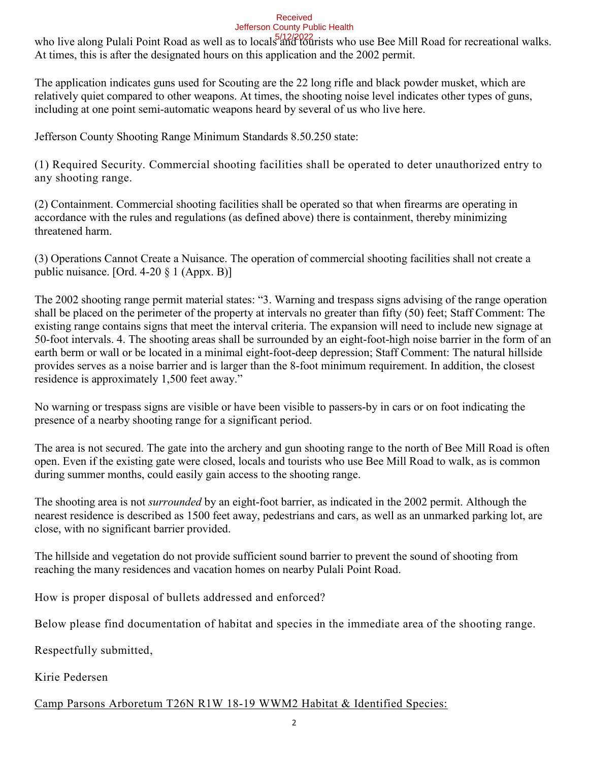#### Received Jefferson County Public Health

who live along Pulali Point Road as well as to locals and tourists who use Bee Mill Road for recreational walks. At times, this is after the designated hours on this application and the 2002 permit.

The application indicates guns used for Scouting are the 22 long rifle and black powder musket, which are relatively quiet compared to other weapons. At times, the shooting noise level indicates other types of guns, including at one point semi-automatic weapons heard by several of us who live here.

Jefferson County Shooting Range Minimum Standards 8.50.250 state:

(1) Required Security. Commercial shooting facilities shall be operated to deter unauthorized entry to any shooting range.

(2) Containment. Commercial shooting facilities shall be operated so that when firearms are operating in accordance with the rules and regulations (as defined above) there is containment, thereby minimizing threatened harm.

(3) Operations Cannot Create a Nuisance. The operation of commercial shooting facilities shall not create a public nuisance. [Ord. 4-20 § 1 (Appx. B)]

The 2002 shooting range permit material states: "3. Warning and trespass signs advising of the range operation shall be placed on the perimeter of the property at intervals no greater than fifty (50) feet; Staff Comment: The existing range contains signs that meet the interval criteria. The expansion will need to include new signage at 50-foot intervals. 4. The shooting areas shall be surrounded by an eight-foot-high noise barrier in the form of an earth berm or wall or be located in a minimal eight-foot-deep depression; Staff Comment: The natural hillside provides serves as a noise barrier and is larger than the 8-foot minimum requirement. In addition, the closest residence is approximately 1,500 feet away."

No warning or trespass signs are visible or have been visible to passers-by in cars or on foot indicating the presence of a nearby shooting range for a significant period.

The area is not secured. The gate into the archery and gun shooting range to the north of Bee Mill Road is often open. Even if the existing gate were closed, locals and tourists who use Bee Mill Road to walk, as is common during summer months, could easily gain access to the shooting range.

The shooting area is not *surrounded* by an eight-foot barrier, as indicated in the 2002 permit. Although the nearest residence is described as 1500 feet away, pedestrians and cars, as well as an unmarked parking lot, are close, with no significant barrier provided.

The hillside and vegetation do not provide sufficient sound barrier to prevent the sound of shooting from reaching the many residences and vacation homes on nearby Pulali Point Road.

How is proper disposal of bullets addressed and enforced?

Below please find documentation of habitat and species in the immediate area of the shooting range.

Respectfully submitted,

Kirie Pedersen

### Camp Parsons Arboretum T26N R1W 18-19 WWM2 Habitat & Identified Species: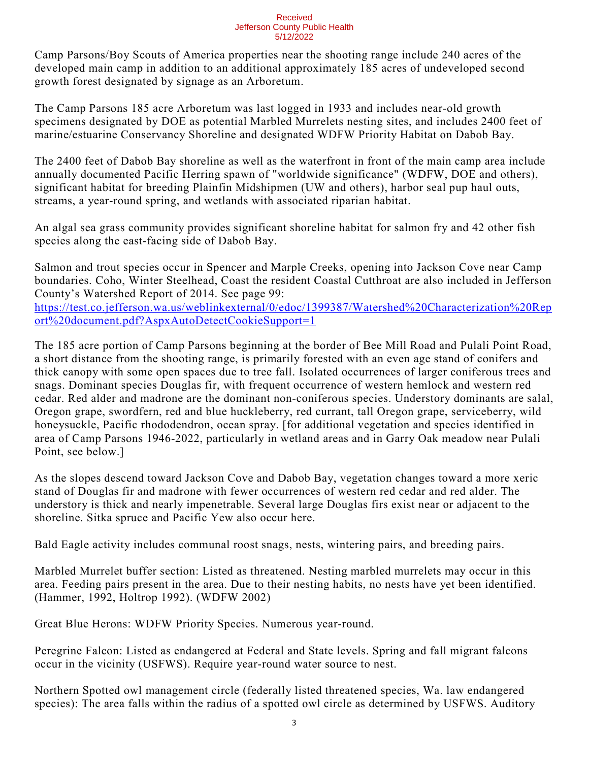#### Received Jefferson County Public Health 5/12/2022

Camp Parsons/Boy Scouts of America properties near the shooting range include 240 acres of the developed main camp in addition to an additional approximately 185 acres of undeveloped second growth forest designated by signage as an Arboretum.

The Camp Parsons 185 acre Arboretum was last logged in 1933 and includes near-old growth specimens designated by DOE as potential Marbled Murrelets nesting sites, and includes 2400 feet of marine/estuarine Conservancy Shoreline and designated WDFW Priority Habitat on Dabob Bay.

The 2400 feet of Dabob Bay shoreline as well as the waterfront in front of the main camp area include annually documented Pacific Herring spawn of "worldwide significance" (WDFW, DOE and others), significant habitat for breeding Plainfin Midshipmen (UW and others), harbor seal pup haul outs, streams, a year-round spring, and wetlands with associated riparian habitat.

An algal sea grass community provides significant shoreline habitat for salmon fry and 42 other fish species along the east-facing side of Dabob Bay.

Salmon and trout species occur in Spencer and Marple Creeks, opening into Jackson Cove near Camp boundaries. Coho, Winter Steelhead, Coast the resident Coastal Cutthroat are also included in Jefferson County's Watershed Report of 2014. See page 99: https://test.co.jefferson.wa.us/weblinkexternal/0/edoc/1399387/Watershed%20Characterization%20Rep

ort%20document.pdf?AspxAutoDetectCookieSupport=1

The 185 acre portion of Camp Parsons beginning at the border of Bee Mill Road and Pulali Point Road, a short distance from the shooting range, is primarily forested with an even age stand of conifers and thick canopy with some open spaces due to tree fall. Isolated occurrences of larger coniferous trees and snags. Dominant species Douglas fir, with frequent occurrence of western hemlock and western red cedar. Red alder and madrone are the dominant non-coniferous species. Understory dominants are salal, Oregon grape, swordfern, red and blue huckleberry, red currant, tall Oregon grape, serviceberry, wild honeysuckle, Pacific rhododendron, ocean spray. [for additional vegetation and species identified in area of Camp Parsons 1946-2022, particularly in wetland areas and in Garry Oak meadow near Pulali Point, see below.]

As the slopes descend toward Jackson Cove and Dabob Bay, vegetation changes toward a more xeric stand of Douglas fir and madrone with fewer occurrences of western red cedar and red alder. The understory is thick and nearly impenetrable. Several large Douglas firs exist near or adjacent to the shoreline. Sitka spruce and Pacific Yew also occur here.

Bald Eagle activity includes communal roost snags, nests, wintering pairs, and breeding pairs.

Marbled Murrelet buffer section: Listed as threatened. Nesting marbled murrelets may occur in this area. Feeding pairs present in the area. Due to their nesting habits, no nests have yet been identified. (Hammer, 1992, Holtrop 1992). (WDFW 2002)

Great Blue Herons: WDFW Priority Species. Numerous year-round.

Peregrine Falcon: Listed as endangered at Federal and State levels. Spring and fall migrant falcons occur in the vicinity (USFWS). Require year-round water source to nest.

Northern Spotted owl management circle (federally listed threatened species, Wa. law endangered species): The area falls within the radius of a spotted owl circle as determined by USFWS. Auditory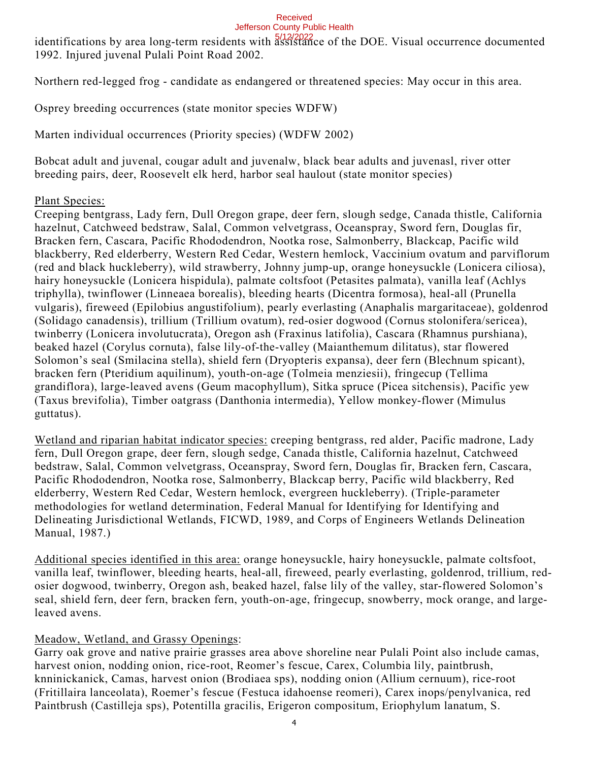# Received

### Jefferson County Public Health

identifications by area long-term residents with assistance of the DOE. Visual occurrence documented 1992. Injured juvenal Pulali Point Road 2002.

Northern red-legged frog - candidate as endangered or threatened species: May occur in this area.

Osprey breeding occurrences (state monitor species WDFW)

Marten individual occurrences (Priority species) (WDFW 2002)

Bobcat adult and juvenal, cougar adult and juvenalw, black bear adults and juvenasl, river otter breeding pairs, deer, Roosevelt elk herd, harbor seal haulout (state monitor species)

### Plant Species:

Creeping bentgrass, Lady fern, Dull Oregon grape, deer fern, slough sedge, Canada thistle, California hazelnut, Catchweed bedstraw, Salal, Common velvetgrass, Oceanspray, Sword fern, Douglas fir, Bracken fern, Cascara, Pacific Rhododendron, Nootka rose, Salmonberry, Blackcap, Pacific wild blackberry, Red elderberry, Western Red Cedar, Western hemlock, Vaccinium ovatum and parviflorum (red and black huckleberry), wild strawberry, Johnny jump-up, orange honeysuckle (Lonicera ciliosa), hairy honeysuckle (Lonicera hispidula), palmate coltsfoot (Petasites palmata), vanilla leaf (Achlys triphylla), twinflower (Linneaea borealis), bleeding hearts (Dicentra formosa), heal-all (Prunella vulgaris), fireweed (Epilobius angustifolium), pearly everlasting (Anaphalis margaritaceae), goldenrod (Solidago canadensis), trillium (Trillium ovatum), red-osier dogwood (Cornus stolonifera/sericea), twinberry (Lonicera involutucrata), Oregon ash (Fraxinus latifolia), Cascara (Rhamnus purshiana), beaked hazel (Corylus cornuta), false lily-of-the-valley (Maianthemum dilitatus), star flowered Solomon's seal (Smilacina stella), shield fern (Dryopteris expansa), deer fern (Blechnum spicant), bracken fern (Pteridium aquilinum), youth-on-age (Tolmeia menziesii), fringecup (Tellima grandiflora), large-leaved avens (Geum macophyllum), Sitka spruce (Picea sitchensis), Pacific yew (Taxus brevifolia), Timber oatgrass (Danthonia intermedia), Yellow monkey-flower (Mimulus guttatus).

Wetland and riparian habitat indicator species: creeping bentgrass, red alder, Pacific madrone, Lady fern, Dull Oregon grape, deer fern, slough sedge, Canada thistle, California hazelnut, Catchweed bedstraw, Salal, Common velvetgrass, Oceanspray, Sword fern, Douglas fir, Bracken fern, Cascara, Pacific Rhododendron, Nootka rose, Salmonberry, Blackcap berry, Pacific wild blackberry, Red elderberry, Western Red Cedar, Western hemlock, evergreen huckleberry). (Triple-parameter methodologies for wetland determination, Federal Manual for Identifying for Identifying and Delineating Jurisdictional Wetlands, FICWD, 1989, and Corps of Engineers Wetlands Delineation Manual, 1987.)

Additional species identified in this area: orange honeysuckle, hairy honeysuckle, palmate coltsfoot, vanilla leaf, twinflower, bleeding hearts, heal-all, fireweed, pearly everlasting, goldenrod, trillium, redosier dogwood, twinberry, Oregon ash, beaked hazel, false lily of the valley, star-flowered Solomon's seal, shield fern, deer fern, bracken fern, youth-on-age, fringecup, snowberry, mock orange, and largeleaved avens.

### Meadow, Wetland, and Grassy Openings:

Garry oak grove and native prairie grasses area above shoreline near Pulali Point also include camas, harvest onion, nodding onion, rice-root, Reomer's fescue, Carex, Columbia lily, paintbrush, knninickanick, Camas, harvest onion (Brodiaea sps), nodding onion (Allium cernuum), rice-root (Fritillaira lanceolata), Roemer's fescue (Festuca idahoense reomeri), Carex inops/penylvanica, red Paintbrush (Castilleja sps), Potentilla gracilis, Erigeron compositum, Eriophylum lanatum, S.